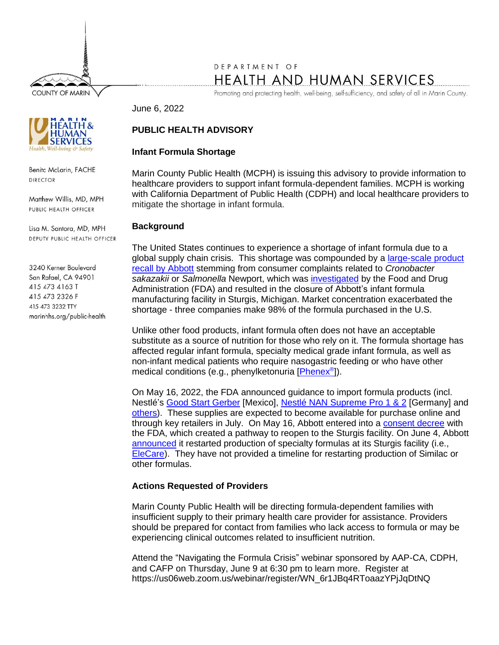**COUNTY OF MARIN** 

# DEPARTMENT OF HEALTH AND HUMAN SERVICES

Promoting and protecting health, well-being, self-sufficiency, and safety of all in Marin County.

June 6, 2022

## **PUBLIC HEALTH ADVISORY**

#### **Infant Formula Shortage**

Marin County Public Health (MCPH) is issuing this advisory to provide information to healthcare providers to support infant formula-dependent families. MCPH is working with California Department of Public Health (CDPH) and local healthcare providers to mitigate the shortage in infant formula.

### **Background**

The United States continues to experience a shortage of infant formula due to a global supply chain crisis. This shortage was compounded by a *large-scale product* recall [by Abbott](https://www.fda.gov/safety/recalls-market-withdrawals-safety-alerts/abbott-voluntarily-recalls-powder-formulas-manufactured-one-plant) stemming from consumer complaints related to *Cronobacter sakazakii* or *Salmonella* Newport, which was [investigated](https://www.fda.gov/news-events/press-announcements/fda-warns-consumers-not-use-certain-powdered-infant-formula-produced-abbott-nutritions-facility) by the Food and Drug Administration (FDA) and resulted in the closure of Abbott's infant formula manufacturing facility in Sturgis, Michigan. Market concentration exacerbated the shortage - three companies make 98% of the formula purchased in the U.S.

Unlike other food products, infant formula often does not have an acceptable substitute as a source of nutrition for those who rely on it. The formula shortage has affected regular infant formula, specialty medical grade infant formula, as well as non-infant medical patients who require nasogastric feeding or who have other medical conditions (e.g., phenylketonuria [**Phenex**®]).

On May 16, 2022, the FDA announced guidance to import formula products (incl. Nestlé's [Good Start Gerber](https://www.fda.gov/news-events/press-announcements/fda-infant-formula-update-june-3-2022) [Mexico], [Nestlé NAN Supreme Pro 1 & 2](https://www.fda.gov/news-events/press-announcements/fda-infant-formula-update-june-2-2022) [Germany] and [others\)](https://www.fda.gov/food/infant-formula-guidance-documents-regulatory-information/enforcement-discretion-manufacturers-increase-infant-formula-supplies). These supplies are expected to become available for purchase online and through key retailers in July. On May 16, Abbott entered into a [consent decree](https://abbott.mediaroom.com/2022-05-16-Abbott-Enters-into-Consent-Decree-with-U-S-Food-and-Drug-Administration-for-its-Sturgis,-Mich-,-Plant-Agreement-Creates-Pathway-to-Reopen-Facility) with the FDA, which created a pathway to reopen to the Sturgis facility. On June 4, Abbott [announced](https://www.abbott.com/corpnewsroom/nutrition-health-and-wellness/abbott-update-on-powder-formula-recall.html) it restarted production of specialty formulas at its Sturgis facility (i.e., [EleCare\)](https://elecare.com/). They have not provided a timeline for restarting production of Similac or other formulas.

### **Actions Requested of Providers**

Marin County Public Health will be directing formula-dependent families with insufficient supply to their primary health care provider for assistance. Providers should be prepared for contact from families who lack access to formula or may be experiencing clinical outcomes related to insufficient nutrition.

Attend the "Navigating the Formula Crisis" webinar sponsored by AAP-CA, CDPH, and CAFP on Thursday, June 9 at 6:30 pm to learn more. Register at https://us06web.zoom.us/webinar/register/WN\_6r1JBq4RToaazYPjJqDtNQ



Benita McLarin, FACHE **DIRECTOR** 

Matthew Willis, MD, MPH PUBLIC HEALTH OFFICER

Lisa M. Santora, MD, MPH DEPUTY PUBLIC HEALTH OFFICER

3240 Kerner Boulevard San Rafael, CA 94901 415 473 4163 T 415 473 2326 F 415 473 3232 TTY marinhhs.org/public-health